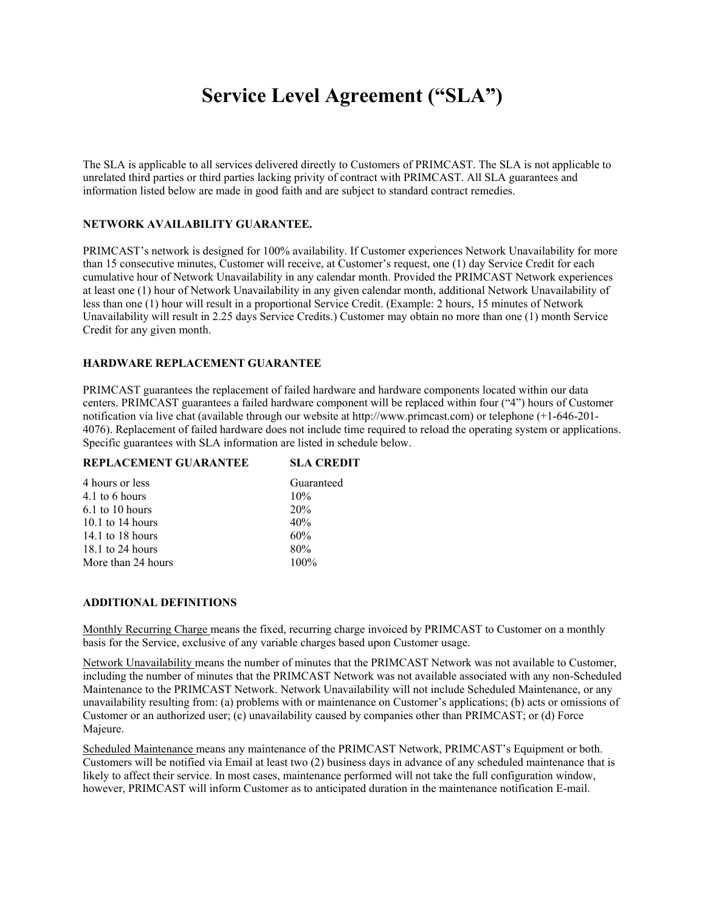# **Service Level Agreement ("SLA")**

The SLA is applicable to all services delivered directly to Customers of PRIMCAST. The SLA is not applicable to unrelated third parties or third parties lacking privity of contract with PRIMCAST. All SLA guarantees and information listed below are made in good faith and are subject to standard contract remedies.

### **NETWORK AVAILABILITY GUARANTEE.**

PRIMCAST's network is designed for 100% availability. If Customer experiences Network Unavailability for more than 15 consecutive minutes, Customer will receive, at Customer's request, one (1) day Service Credit for each cumulative hour of Network Unavailability in any calendar month. Provided the PRIMCAST Network experiences at least one (1) hour of Network Unavailability in any given calendar month, additional Network Unavailability of less than one (1) hour will result in a proportional Service Credit. (Example: 2 hours, 15 minutes of Network Unavailability will result in 2.25 days Service Credits.) Customer may obtain no more than one (1) month Service Credit for any given month.

#### **HARDWARE REPLACEMENT GUARANTEE**

PRIMCAST guarantees the replacement of failed hardware and hardware components located within our data centers. PRIMCAST guarantees a failed hardware component will be replaced within four ("4") hours of Customer notification via live chat (available through our website at http://www.primcast.com) or telephone (+1-646-201- 4076). Replacement of failed hardware does not include time required to reload the operating system or applications. Specific guarantees with SLA information are listed in schedule below.

| REPLACEMENT GUARANTEE | <b>SLA CREDIT</b> |
|-----------------------|-------------------|
| 4 hours or less       | Guaranteed        |
| 4.1 to 6 hours        | 10%               |
| $6.1$ to 10 hours     | 20%               |
| $10.1$ to 14 hours    | 40%               |
| 14.1 to 18 hours      | 60%               |
| 18.1 to 24 hours      | 80%               |
| More than 24 hours    | $100\%$           |
|                       |                   |

#### **ADDITIONAL DEFINITIONS**

Monthly Recurring Charge means the fixed, recurring charge invoiced by PRIMCAST to Customer on a monthly basis for the Service, exclusive of any variable charges based upon Customer usage.

Network Unavailability means the number of minutes that the PRIMCAST Network was not available to Customer, including the number of minutes that the PRIMCAST Network was not available associated with any non-Scheduled Maintenance to the PRIMCAST Network. Network Unavailability will not include Scheduled Maintenance, or any unavailability resulting from: (a) problems with or maintenance on Customer's applications; (b) acts or omissions of Customer or an authorized user; (c) unavailability caused by companies other than PRIMCAST; or (d) Force Majeure.

Scheduled Maintenance means any maintenance of the PRIMCAST Network, PRIMCAST's Equipment or both. Customers will be notified via Email at least two (2) business days in advance of any scheduled maintenance that is likely to affect their service. In most cases, maintenance performed will not take the full configuration window, however, PRIMCAST will inform Customer as to anticipated duration in the maintenance notification E-mail.